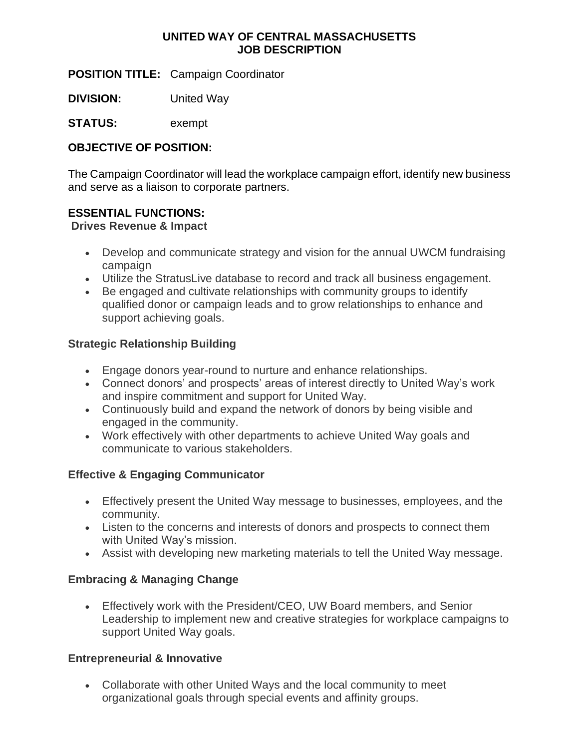## **UNITED WAY OF CENTRAL MASSACHUSETTS JOB DESCRIPTION**

**POSITION TITLE:** Campaign Coordinator

**DIVISION:** United Way

**STATUS:** exempt

### **OBJECTIVE OF POSITION:**

The Campaign Coordinator will lead the workplace campaign effort, identify new business and serve as a liaison to corporate partners.

#### **ESSENTIAL FUNCTIONS:**

#### **Drives Revenue & Impact**

- Develop and communicate strategy and vision for the annual UWCM fundraising campaign
- Utilize the StratusLive database to record and track all business engagement.
- Be engaged and cultivate relationships with community groups to identify qualified donor or campaign leads and to grow relationships to enhance and support achieving goals.

## **Strategic Relationship Building**

- Engage donors year-round to nurture and enhance relationships.
- Connect donors' and prospects' areas of interest directly to United Way's work and inspire commitment and support for United Way.
- Continuously build and expand the network of donors by being visible and engaged in the community.
- Work effectively with other departments to achieve United Way goals and communicate to various stakeholders.

# **Effective & Engaging Communicator**

- Effectively present the United Way message to businesses, employees, and the community.
- Listen to the concerns and interests of donors and prospects to connect them with United Way's mission.
- Assist with developing new marketing materials to tell the United Way message.

#### **Embracing & Managing Change**

• Effectively work with the President/CEO, UW Board members, and Senior Leadership to implement new and creative strategies for workplace campaigns to support United Way goals.

#### **Entrepreneurial & Innovative**

• Collaborate with other United Ways and the local community to meet organizational goals through special events and affinity groups.